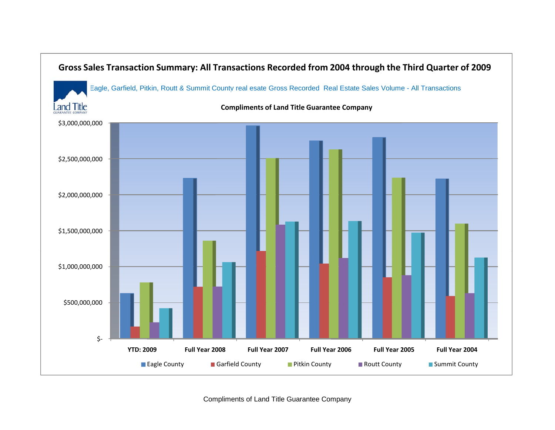

Compliments of Land Title Guarantee Company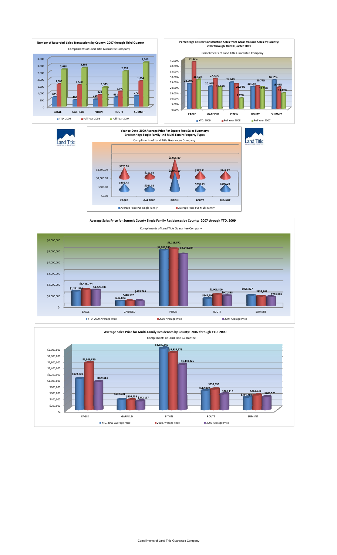

\$1,000.00

**\$356.43**



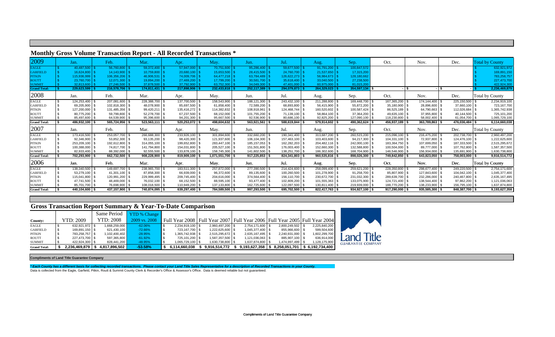# **Monthly Gross Volume Transaction Report - All Recorded Transactions \***

| 2009                | Jan.            | Feb.           | Mar.             | Apr.           | May.             | Jun.           | Jul.            | Aug.           | Sep.           | Oct.             | Nov.           | Dec.           | <b>Total by County</b> |
|---------------------|-----------------|----------------|------------------|----------------|------------------|----------------|-----------------|----------------|----------------|------------------|----------------|----------------|------------------------|
| <b>EAGLE</b>        | 40,487,500      | 56,760,800     | 59,372,400       | 57,947,000     | 70,751,600       | 95,286,400     | 59,677,500      | 91,791,200     | 100,847,572    |                  |                |                | 632,921,972            |
| <b>GARFIELD</b>     | 16,624,800      | 14,143,900     | 10,759,800       | 20,680,100     | 15,653,500       | 28,415,500     | 24,760,700      | 21,537,650     | 17,315,200     |                  |                |                | 169,891,150            |
| <b>PITKIN</b>       | 115,936,999     | 106.356.206    | 46.906.531       | 74,009,706     | 64.477.218       | 63.784.489     | 126.622.273     | 56,984,673     | 128,180,662    |                  |                |                | 783,258,757            |
| <b>ROUTT</b>        | 23,760,700      | 12,071,300     | 19,894,200       | 27,469,200     | 17,799,200       | 30,581,700     | 35,618,400   \$ | 33,040,500     | 27,238,500     |                  |                |                | 227,473,700            |
| <b>SUMMIT</b>       | 32.813.600      | 27.246.500     | 37,878,500       | 37,792,900     | 63.752.300       | 34,049,300     | 47,401,000      | 60.975.000     | 81,015,20      |                  |                |                | 422,924,30             |
| <b>Grand Total:</b> | $229,623,599$ : | 216,578,706 \$ | 174,811,431      | 217,898,906    | $232,433,818$ \$ | 252,117,389    | 294,079,873     | 264,329,023    | 354,597,134 \$ |                  | $-$ \$         |                | 2,236,469,879          |
| 2008                | Jan.            | Feb.           | Mar.             | Apr.           | May.             | Jun.           | Jul.            | Aug.           | Sep.           | Oct.             | Nov.           | Dec.           | Total by County        |
| <b>EAGLE</b>        | 124,253,400 \$  | 207.081.600    | 228,388,700      | 137,700,500    | 158,543,900 \$   | 188,121,300    | 243,432,100 \$  | 211,288,800 \$ | 169.448.700    | 167,365,200      | 174,144,400 \$ | 225,150,500    | 2,234,919,100          |
| <b>GARFIELD</b>     | 69,205,900 \$   | 102.818.300 \$ | 48,078,900       | 85,697,500     | 61,858,400 \$    | 72,589,200 \$  | 68,893,800 \$   | 56,415,900 \$  | 55,872,200 \$  | 35,180,900 \$    | 28,896,600     | 37,660,100 \$  | 723,167,700            |
| <b>PITKIN</b>       | 127,200,000     | 131,485,356    | 99,420,211       | 135,416,272    | 114,382,832 \$   | 108,918,961    | 124,468,744     | 160,520,602    | 100,587,424    | 86,525,189       | 64,790,663     | 112,026,684    | 1,365,742,938          |
| <b>ROUTT</b>        | 80,775,200 \$   | 59,799,800 \$  | 52,278,700       | 67,237,500     | 68.152.000 \$    | 101,755,200 \$ | 71,139,100 \$   | 58,864,100 \$  | 37,364,200 \$  | 49,635,100       | 37,955,800     | 40,144,500 \$  | 725,101,200            |
| <b>SUMMIT</b>       | 85,497,600 \$   | 64,539,900 \$  | 95,396,600       | 94,201,300 \$  | 95,667,500 \$    | 92,536,900     | 80,686,100 \$   | 92,825,200 \$  | 127,090,100 \$ | 118,230,800 \$   | 58,002,400     | 61,054,700 \$  | 1,065,729,100          |
| <b>Grand Total:</b> | 486,932,100 \$  | 565,724,956 \$ | $523,563,111$ \$ | 520,253,072 \$ | 498,604,632 \$   | 563,921,561    | 588,619,844 \$  | 579,914,602 \$ | 490,362,624 \$ | 456,937,189 \$   | 363,789,863    | 476,036,484 \$ | 6,114,660,038          |
| 2007                | Jan.            | Feb.           | Mar.             | Apr.           | May.             | Jun.           | Jul.            | Aug.           | Sep.           | Oct.             | Nov.           | Dec.           | Total by County        |
| EAGLE               | 173,416,500 \$  | 253,057,700 \$ | 266,688,300      | 233,926,100 \$ | 301,894,600 \$   | 332,660,200    | 190,341,400 \$  | 313,687,200 \$ | 260,515,200    | 215,096,100 \$   | 216,475,200 \$ | 202,738,700 \$ | 2,960,497,200          |
| <b>GARFIELD</b>     | 92,346,900 \$   | 53,852,300 \$  | 93,135,200       | 98,420,300     | 121,937,600 \$   | 106,104,300 \$ | 157,463,100 \$  | 103,403,600 \$ | 94,217,300 \$  | 104.331.100 \$   | 72,937,800 \$  | 124,476,100 \$ | 1,222,625,600          |
| <b>PITKIN</b>       | 253,209,100 \$  | 192.612.800 \$ | 314,055,100      | 199,652,800    | 283.447.100 \$   | 185, 157, 053  | 162,282,203 \$  | 204,482,116 \$ | 242.000.100 \$ | 183,364,750 \$   | 107,699,050 \$ | 187,333,500 \$ | 2,515,295,672          |
| <b>ROUTT</b>        | 100,388,000 \$  | 74,817,700 \$  | 141,794,800      | 154,031,800 \$ | 205,527,100 \$   | 151,501,800    | 176,003,400 \$  | 152,660,300    | 132,588,800 \$ | 100,504,000 \$   | 89,777,000     | 107,762,800    | 1,587,357,500          |
| <b>SUMMIT</b>       | 82,933,400 \$   | 88.392.000 \$  | 92,555,500       | 133,878,100 \$ | 158.745.300 \$   | 141,802,500    | 138,251,700 \$  | 186,302,600    | 168.704.900 \$ | 146,546,900 \$   | 156,934,000    | 135,691,900 \$ | 1,630,738,800          |
| <b>Grand Total:</b> | 702,293,900     | 662,732,500 \$ | 908,228,900      | 819,909,100 \$ | 1,071,551,700 \$ | 917,225,853    | 824,341,803 \$  | 960,535,816 \$ | 898,026,300    | 749,842,850 \$   | 643,823,050    | 758,003,000 \$ | 9,916,514,772          |
| 2006                | Jan.            | Feb.           | Mar.             | Apr.           | May.             | Jun.           | Jul.            | Aug.           | Sep.           | Oct.             | Nov.           | Dec.           | Total by County        |
| EAGLE               | 138,340,500 \$  | 149.697.700 \$ | 238,965,700      | 183,511,300    | 257,872,000 \$   | 277,390,500    | 214.424.600     | 258,099,400    | 259.621.200    | 228,350,800      | 298.677.400    | 249,220,500 \$ | 2,754,171,600          |
| <b>GARFIELD</b>     | 53,279,100 \$   | 41,301,100 \$  | 87,858,300       | 66,939,000     | 96,372,600 \$    | 89,135,600     | 100,260,500 \$  | 101,278,900 \$ | 91,258,700 \$  | 85,807,900       | 127,843,600 \$ | 104,042,100 \$ | 1,045,377,400          |
| <b>PITKIN</b>       | 115,041,800 \$  | 120,991,200 \$ | 229,999,495      | 209,745,400    | 204,616,000 \$   | 374,564,400 \$ | 156,110,700 \$  | 230,672,700 \$ | 231,032,300    | 289,639,700      | 232,286,000    | 240,467,800 \$ | 2,635,167,495          |
| <b>ROUTT</b>        | 47,741,500 \$   | 48,469,000 \$  | 76,032,100       | 68,152,500     | 88,595,100 \$    | 93,477,400 \$  | 102,809,200 \$  | 101,555,363 \$ | 133,075,900 \$ | 124,721,400 \$   | 138,544,400 \$ | 97,862,200 \$  | 1,121,036,063          |
| <b>SUMMIT</b>       | 85.701.700 \$   | 76.698.900 \$  | 108,018,500      | 110,949,200 \$ | 137,133,800 \$   | 162,725,600    | 122,097,500 \$  | 130,811,400 \$ | 219,939,000 \$ | 188,770,200 \$   | 138.233.900    | 156,795,100 \$ | 1,637,874,800          |
| <b>Grand Total:</b> | 440,104,600 \$  | 437,157,900 \$ | 740,874,095 \$   | 639,297,400 \$ | 784,589,500 \$   | 997,293,500    | 695,702,500 \$  | 822,417,763 \$ | 934,927,100 \$ | $917,290,000$ \$ | 935,585,300 \$ | 848,387,700 \$ | 9,193,627,358          |

## **Gross Transaction Report Summary & Year-To-Date Comparison**

|                     |                  | Same Period      | <b>YTD</b> % Change |                    |                                                                            |                    |                                 |               |                  |
|---------------------|------------------|------------------|---------------------|--------------------|----------------------------------------------------------------------------|--------------------|---------------------------------|---------------|------------------|
| <b>County:</b>      | <b>YTD: 2009</b> | <b>YTD: 2008</b> | 2009 vs. 2008       |                    | Full Year 2008 Full Year 2007 Full Year 2006 Full Year 2005 Full Year 2004 |                    |                                 |               |                  |
| <b>EAGLE</b>        | 632,921,972 \$   | 1,668,259,000    | $-62.06%$           | 2.234.919.100 \$   | 2,960,497,200 \$                                                           | 2.754.171.600   \$ | 2.800.249.502 \$                | 2.225.840.200 |                  |
| <b>GARFIELD</b>     | 169,891,150 \$   | 621,430,100      | $-72.66%$           | 723,167,700 \$     | 1,222,625,600 \$                                                           | 1,045,377,400 \$   | 855,966,600 \$                  | 599,504,600   |                  |
| <b>PITKIN</b>       | 783,258,757 \$   | 1.102.400.402    | $-28.95%$           | 1,365,742,938 \$   | 2,515,295,672 \$                                                           | 2,635,167,495 \$   | 2,240,931,000 \$                | 1,602,299,700 |                  |
| <b>ROUTT</b>        | 227,473,700 \$   | 597,365,800      | $-61.92%$           | 725.101.200 \$     | 1,587,357,500 \$                                                           | 1,121,036,063 \$   | 885,907,100 \$                  | 636,914,000   | land             |
| <b>SUMMIT</b>       | 422,924,300 \$   | 828,441,200      | $-48.95%$           | $1,065,729,100$ \$ | 1,630,738,800 \$                                                           | 1,637,874,800 \$   | 1,474,997,499 \$                | 1,128,175,900 | <b>GUARANTEE</b> |
| <b>Grand Total:</b> | 2,236,469,879    | 4,817,896,502    | $-53.58%$           | 6,114,660,038      | 9,916,514,772                                                              | 9,193,627,358      | 8,258,051,701   \$6,192,734,400 |               |                  |



**Compliments of Land Title Guarantee Company**

*\* Each County has a different basis for collecting recorded transactions. Please contact your Land Title Sales Representative for a description of Recorded Transactions in your County.* Data is collected from the Eagle, Garfield, Pitkin, Routt & Summit County Clerk & Recorder's Office & Assessor's Office. Data is deemed reliable but not guaranteed.